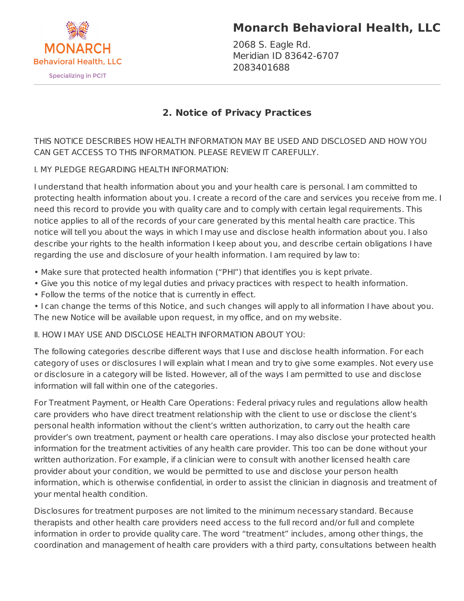

# **Monarch Behavioral Health, LLC**

2068 S. Eagle Rd. Meridian ID 83642-6707 2083401688

# **2. Notice of Privacy Practices**

THIS NOTICE DESCRIBES HOW HEALTH INFORMATION MAY BE USED AND DISCLOSED AND HOW YOU CAN GET ACCESS TO THIS INFORMATION. PLEASE REVIEW IT CAREFULLY.

# I. MY PLEDGE REGARDING HEALTH INFORMATION:

I understand that health information about you and your health care is personal. I am committed to protecting health information about you. I create a record of the care and services you receive from me. I need this record to provide you with quality care and to comply with certain legal requirements. This notice applies to all of the records of your care generated by this mental health care practice. This notice will tell you about the ways in which I may use and disclose health information about you. I also describe your rights to the health information I keep about you, and describe certain obligations I have regarding the use and disclosure of your health information. I am required by law to:

• Make sure that protected health information ("PHI") that identifies you is kept private.

- Give you this notice of my legal duties and privacy practices with respect to health information.
- Follow the terms of the notice that is currently in effect.

• I can change the terms of this Notice, and such changes will apply to all information I have about you. The new Notice will be available upon request, in my office, and on my website.

II. HOW I MAY USE AND DISCLOSE HEALTH INFORMATION ABOUT YOU:

The following categories describe different ways that I use and disclose health information. For each category of uses or disclosures I will explain what I mean and try to give some examples. Not every use or disclosure in a category will be listed. However, all of the ways I am permitted to use and disclose information will fall within one of the categories.

For Treatment Payment, or Health Care Operations: Federal privacy rules and regulations allow health care providers who have direct treatment relationship with the client to use or disclose the client's personal health information without the client's written authorization, to carry out the health care provider's own treatment, payment or health care operations. I may also disclose your protected health information for the treatment activities of any health care provider. This too can be done without your written authorization. For example, if a clinician were to consult with another licensed health care provider about your condition, we would be permitted to use and disclose your person health information, which is otherwise confidential, in order to assist the clinician in diagnosis and treatment of your mental health condition.

Disclosures for treatment purposes are not limited to the minimum necessary standard. Because therapists and other health care providers need access to the full record and/or full and complete information in order to provide quality care. The word "treatment" includes, among other things, the coordination and management of health care providers with a third party, consultations between health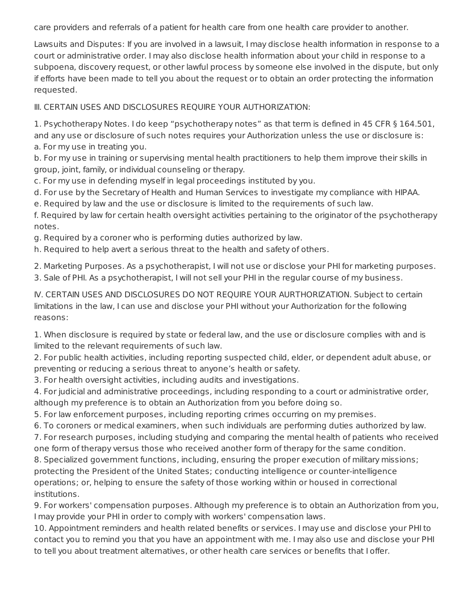care providers and referrals of a patient for health care from one health care provider to another.

Lawsuits and Disputes: If you are involved in a lawsuit, I may disclose health information in response to a court or administrative order. I may also disclose health information about your child in response to a subpoena, discovery request, or other lawful process by someone else involved in the dispute, but only if efforts have been made to tell you about the request or to obtain an order protecting the information requested.

III. CERTAIN USES AND DISCLOSURES REQUIRE YOUR AUTHORIZATION:

1. Psychotherapy Notes. I do keep "psychotherapy notes" as that term is defined in 45 CFR § 164.501, and any use or disclosure of such notes requires your Authorization unless the use or disclosure is: a. For my use in treating you.

b. For my use in training or supervising mental health practitioners to help them improve their skills in group, joint, family, or individual counseling or therapy.

c. For my use in defending myself in legal proceedings instituted by you.

d. For use by the Secretary of Health and Human Services to investigate my compliance with HIPAA.

e. Required by law and the use or disclosure is limited to the requirements of such law.

f. Required by law for certain health oversight activities pertaining to the originator of the psychotherapy notes.

g. Required by a coroner who is performing duties authorized by law.

h. Required to help avert a serious threat to the health and safety of others.

2. Marketing Purposes. As a psychotherapist, I will not use or disclose your PHI for marketing purposes.

3. Sale of PHI. As a psychotherapist, I will not sell your PHI in the regular course of my business.

IV. CERTAIN USES AND DISCLOSURES DO NOT REQUIRE YOUR AURTHORIZATION. Subject to certain limitations in the law, I can use and disclose your PHI without your Authorization for the following reasons:

1. When disclosure is required by state or federal law, and the use or disclosure complies with and is limited to the relevant requirements of such law.

2. For public health activities, including reporting suspected child, elder, or dependent adult abuse, or preventing or reducing a serious threat to anyone's health or safety.

3. For health oversight activities, including audits and investigations.

4. For judicial and administrative proceedings, including responding to a court or administrative order, although my preference is to obtain an Authorization from you before doing so.

5. For law enforcement purposes, including reporting crimes occurring on my premises.

6. To coroners or medical examiners, when such individuals are performing duties authorized by law.

7. For research purposes, including studying and comparing the mental health of patients who received one form of therapy versus those who received another form of therapy for the same condition.

8. Specialized government functions, including, ensuring the proper execution of military missions; protecting the President of the United States; conducting intelligence or counter-intelligence operations; or, helping to ensure the safety of those working within or housed in correctional institutions.

9. For workers' compensation purposes. Although my preference is to obtain an Authorization from you, I may provide your PHI in order to comply with workers' compensation laws.

10. Appointment reminders and health related benefits or services. I may use and disclose your PHI to contact you to remind you that you have an appointment with me. I may also use and disclose your PHI to tell you about treatment alternatives, or other health care services or benefits that I offer.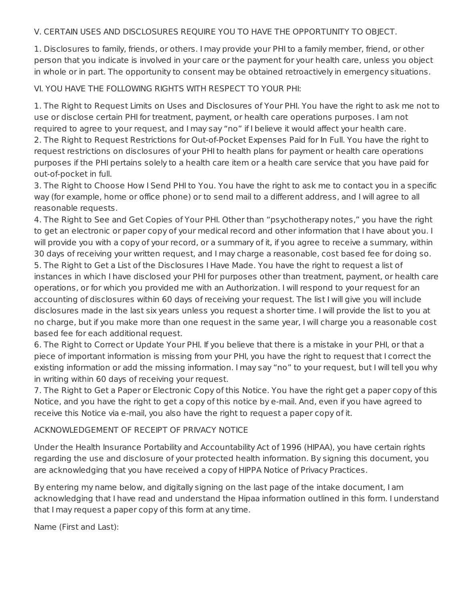#### V. CERTAIN USES AND DISCLOSURES REQUIRE YOU TO HAVE THE OPPORTUNITY TO OBJECT.

1. Disclosures to family, friends, or others. I may provide your PHI to a family member, friend, or other person that you indicate is involved in your care or the payment for your health care, unless you object in whole or in part. The opportunity to consent may be obtained retroactively in emergency situations.

## VI. YOU HAVE THE FOLLOWING RIGHTS WITH RESPECT TO YOUR PHI:

1. The Right to Request Limits on Uses and Disclosures of Your PHI. You have the right to ask me not to use or disclose certain PHI for treatment, payment, or health care operations purposes. I am not required to agree to your request, and I may say "no" if I believe it would affect your health care. 2. The Right to Request Restrictions for Out-of-Pocket Expenses Paid for In Full. You have the right to request restrictions on disclosures of your PHI to health plans for payment or health care operations purposes if the PHI pertains solely to a health care item or a health care service that you have paid for out-of-pocket in full.

3. The Right to Choose How I Send PHI to You. You have the right to ask me to contact you in a specific way (for example, home or office phone) or to send mail to a different address, and I will agree to all reasonable requests.

4. The Right to See and Get Copies of Your PHI. Other than "psychotherapy notes," you have the right to get an electronic or paper copy of your medical record and other information that I have about you. I will provide you with a copy of your record, or a summary of it, if you agree to receive a summary, within 30 days of receiving your written request, and I may charge a reasonable, cost based fee for doing so. 5. The Right to Get a List of the Disclosures I Have Made. You have the right to request a list of instances in which I have disclosed your PHI for purposes other than treatment, payment, or health care operations, or for which you provided me with an Authorization. I will respond to your request for an accounting of disclosures within 60 days of receiving your request. The list I will give you will include disclosures made in the last six years unless you request a shorter time. I will provide the list to you at no charge, but if you make more than one request in the same year, I will charge you a reasonable cost based fee for each additional request.

6. The Right to Correct or Update Your PHI. If you believe that there is a mistake in your PHI, or that a piece of important information is missing from your PHI, you have the right to request that I correct the existing information or add the missing information. I may say "no" to your request, but I will tell you why in writing within 60 days of receiving your request.

7. The Right to Get a Paper or Electronic Copy of this Notice. You have the right get a paper copy of this Notice, and you have the right to get a copy of this notice by e-mail. And, even if you have agreed to receive this Notice via e-mail, you also have the right to request a paper copy of it.

## ACKNOWLEDGEMENT OF RECEIPT OF PRIVACY NOTICE

Under the Health Insurance Portability and Accountability Act of 1996 (HIPAA), you have certain rights regarding the use and disclosure of your protected health information. By signing this document, you are acknowledging that you have received a copy of HIPPA Notice of Privacy Practices.

By entering my name below, and digitally signing on the last page of the intake document, I am acknowledging that I have read and understand the Hipaa information outlined in this form. I understand that I may request a paper copy of this form at any time.

Name (First and Last):